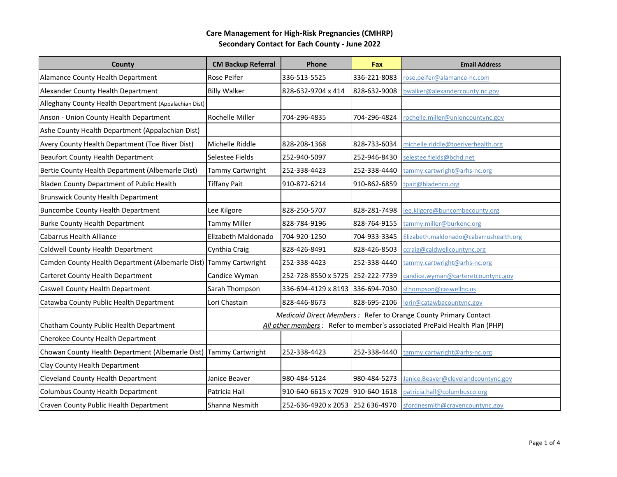| County                                                            | <b>CM Backup Referral</b>                                                                                                                           | Phone                            | Fax          | <b>Email Address</b>                   |
|-------------------------------------------------------------------|-----------------------------------------------------------------------------------------------------------------------------------------------------|----------------------------------|--------------|----------------------------------------|
| Alamance County Health Department                                 | Rose Peifer                                                                                                                                         | 336-513-5525                     | 336-221-8083 | rose.peifer@alamance-nc.com            |
| Alexander County Health Department                                | <b>Billy Walker</b>                                                                                                                                 | 828-632-9704 x 414               | 828-632-9008 | owalker@alexandercounty.nc.gov         |
| Alleghany County Health Department (Appalachian Dist)             |                                                                                                                                                     |                                  |              |                                        |
| Anson - Union County Health Department                            | Rochelle Miller                                                                                                                                     | 704-296-4835                     | 704-296-4824 | rochelle.miller@unioncountync.gov      |
| Ashe County Health Department (Appalachian Dist)                  |                                                                                                                                                     |                                  |              |                                        |
| Avery County Health Department (Toe River Dist)                   | Michelle Riddle                                                                                                                                     | 828-208-1368                     | 828-733-6034 | michelle.riddle@toeriverhealth.org     |
| <b>Beaufort County Health Department</b>                          | Selestee Fields                                                                                                                                     | 252-940-5097                     | 252-946-8430 | selestee.fields@bchd.net               |
| Bertie County Health Department (Albemarle Dist)                  | Tammy Cartwright                                                                                                                                    | 252-338-4423                     | 252-338-4440 | tammy.cartwright@arhs-nc.org           |
| Bladen County Department of Public Health                         | <b>Tiffany Pait</b>                                                                                                                                 | 910-872-6214                     | 910-862-6859 | tpait@bladenco.org                     |
| <b>Brunswick County Health Department</b>                         |                                                                                                                                                     |                                  |              |                                        |
| <b>Buncombe County Health Department</b>                          | Lee Kilgore                                                                                                                                         | 828-250-5707                     | 828-281-7498 | lee.kilgore@buncombecounty.org         |
| <b>Burke County Health Department</b>                             | Tammy Miller                                                                                                                                        | 828-784-9196                     | 828-764-9155 | tammy.miller@burkenc.org               |
| <b>Cabarrus Health Alliance</b>                                   | Elizabeth Maldonado                                                                                                                                 | 704-920-1250                     | 704-933-3345 | Elizabeth.maldonado@cabarrushealth.org |
| Caldwell County Health Department                                 | Cynthia Craig                                                                                                                                       | 828-426-8491                     | 828-426-8503 | ccraig@caldwellcountync.org            |
| Camden County Health Department (Albemarle Dist) Tammy Cartwright |                                                                                                                                                     | 252-338-4423                     | 252-338-4440 | tammy.cartwright@arhs-nc.org           |
| Carteret County Health Department                                 | Candice Wyman                                                                                                                                       | 252-728-8550 x 5725 252-222-7739 |              | candice.wyman@carteretcountync.gov     |
| Caswell County Health Department                                  | Sarah Thompson                                                                                                                                      | 336-694-4129 x 8193 336-694-7030 |              | sthompson@caswellnc.us                 |
| Catawba County Public Health Department                           | Lori Chastain                                                                                                                                       | 828-446-8673                     | 828-695-2106 | lorir@catawbacountync.gov              |
| Chatham County Public Health Department                           | <b>Medicaid Direct Members:</b> Refer to Orange County Primary Contact<br>All other members: Refer to member's associated PrePaid Health Plan (PHP) |                                  |              |                                        |
| Cherokee County Health Department                                 |                                                                                                                                                     |                                  |              |                                        |
| Chowan County Health Department (Albemarle Dist) Tammy Cartwright |                                                                                                                                                     | 252-338-4423                     | 252-338-4440 | tammy.cartwright@arhs-nc.org           |
| Clay County Health Department                                     |                                                                                                                                                     |                                  |              |                                        |
| Cleveland County Health Department                                | Janice Beaver                                                                                                                                       | 980-484-5124                     | 980-484-5273 | Janice.Beaver@clevelandcountync.gov    |
| Columbus County Health Department                                 | Patricia Hall                                                                                                                                       | 910-640-6615 x 7029 910-640-1618 |              | patricia.hall@columbusco.org           |
| Craven County Public Health Department                            | Shanna Nesmith                                                                                                                                      | 252-636-4920 x 2053 252 636-4970 |              | sfordnesmith@cravencountync.gov        |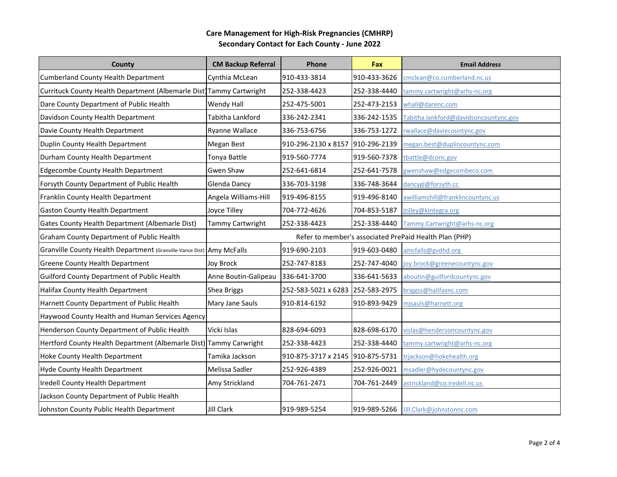| County                                                                | <b>CM Backup Referral</b> | Phone                            | Fax          | <b>Email Address</b>                                   |
|-----------------------------------------------------------------------|---------------------------|----------------------------------|--------------|--------------------------------------------------------|
| <b>Cumberland County Health Department</b>                            | Cynthia McLean            | 910-433-3814                     | 910-433-3626 | cmclean@co.cumberland.nc.us                            |
| Currituck County Health Department (Albemarle Dist) Tammy Cartwright  |                           | 252-338-4423                     | 252-338-4440 | tammy.cartwright@arhs-nc.org                           |
| Dare County Department of Public Health                               | Wendy Hall                | 252-475-5001                     | 252-473-2153 | whall@darenc.com                                       |
| Davidson County Health Department                                     | Tabitha Lankford          | 336-242-2341                     | 336-242-1535 | Tabitha.lankford@davidsoncountync.gov                  |
| Davie County Health Department                                        | Ryanne Wallace            | 336-753-6756                     | 336-753-1272 | rwallace@daviecountync.gov                             |
| Duplin County Health Department                                       | Megan Best                | 910-296-2130 x 8157              | 910-296-2139 | megan.best@duplincountync.com                          |
| Durham County Health Department                                       | Tonya Battle              | 919-560-7774                     | 919-560-7378 | tbattle@dconc.gov                                      |
| <b>Edgecombe County Health Department</b>                             | Gwen Shaw                 | 252-641-6814                     | 252-641-7578 | gwenshaw@edgecombeco.com                               |
| Forsyth County Department of Public Health                            | <b>Glenda Dancy</b>       | 336-703-3198                     | 336-748-3644 | dancygl@forsyth.cc                                     |
| Franklin County Health Department                                     | Angela Williams-Hill      | 919-496-8155                     | 919-496-8140 | awilliamshill@franklincountync.us                      |
| <b>Gaston County Health Department</b>                                | Joyce Tilley              | 704-772-4626                     | 704-853-5187 | jtilley@kintegra.org                                   |
| Gates County Health Department (Albemarle Dist)                       | Tammy Cartwright          | 252-338-4423                     | 252-338-4440 | Tammy.Cartwright@arhs-nc.org                           |
| <b>Graham County Department of Public Health</b>                      |                           |                                  |              | Refer to member's associated PrePaid Health Plan (PHP) |
| Granville County Health Department (Granville-Vance Dist) Amy McFalls |                           | 919-690-2103                     | 919-603-0480 | amcfalls@gvdhd.org                                     |
| <b>Greene County Health Department</b>                                | Joy Brock                 | 252-747-8183                     | 252-747-4040 | oy.brock@greenecountync.gov                            |
| <b>Guilford County Department of Public Health</b>                    | Anne Boutin-Galipeau      | 336-641-3700                     | 336-641-5633 | aboutin@guilfordcountync.gov                           |
| Halifax County Health Department                                      | <b>Shea Briggs</b>        | 252-583-5021 x 6283 252-583-2975 |              | briggss@halifaxnc.com                                  |
| Harnett County Department of Public Health                            | Mary Jane Sauls           | 910-814-6192                     | 910-893-9429 | mjsauls@harnett.org                                    |
| Haywood County Health and Human Services Agency                       |                           |                                  |              |                                                        |
| Henderson County Department of Public Health                          | Vicki Islas               | 828-694-6093                     | 828-698-6170 | vislas@hendersoncountync.gov                           |
| Hertford County Health Department (Albemarle Dist) Tammy Carwright    |                           | 252-338-4423                     | 252-338-4440 | tammy.cartwright@arhs-nc.org                           |
| Hoke County Health Department                                         | Tamika Jackson            | 910-875-3717 x 2145 910-875-5731 |              | trjackson@hokehealth.org                               |
| Hyde County Health Department                                         | Melissa Sadler            | 252-926-4389                     | 252-926-0021 | msadler@hydecountync.gov                               |
| Iredell County Health Department                                      | Amy Strickland            | 704-761-2471                     | 704-761-2449 | astrickland@co.iredell.nc.us                           |
| Jackson County Department of Public Health                            |                           |                                  |              |                                                        |
| Johnston County Public Health Department                              | <b>Jill Clark</b>         | 919-989-5254                     | 919-989-5266 | Jill.Clark@johnstonnc.com                              |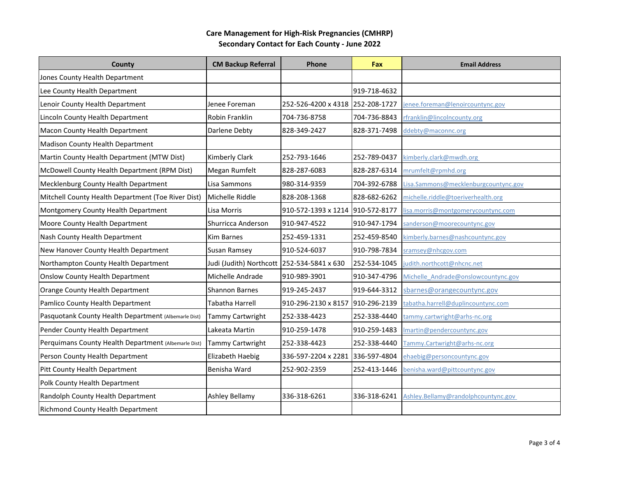| County                                               | <b>CM Backup Referral</b> | Phone                            | Fax          | <b>Email Address</b>                 |
|------------------------------------------------------|---------------------------|----------------------------------|--------------|--------------------------------------|
| Jones County Health Department                       |                           |                                  |              |                                      |
| Lee County Health Department                         |                           |                                  | 919-718-4632 |                                      |
| Lenoir County Health Department                      | Jenee Foreman             | 252-526-4200 x 4318 252-208-1727 |              | jenee.foreman@lenoircountync.gov     |
| Lincoln County Health Department                     | Robin Franklin            | 704-736-8758                     | 704-736-8843 | rfranklin@lincolncounty.org          |
| <b>Macon County Health Department</b>                | Darlene Debty             | 828-349-2427                     | 828-371-7498 | ddebty@maconnc.org                   |
| <b>Madison County Health Department</b>              |                           |                                  |              |                                      |
| Martin County Health Department (MTW Dist)           | Kimberly Clark            | 252-793-1646                     | 252-789-0437 | kimberly.clark@mwdh.org              |
| McDowell County Health Department (RPM Dist)         | Megan Rumfelt             | 828-287-6083                     | 828-287-6314 | mrumfelt@rpmhd.org                   |
| Mecklenburg County Health Department                 | Lisa Sammons              | 980-314-9359                     | 704-392-6788 | Lisa.Sammons@mecklenburgcountync.gov |
| Mitchell County Health Department (Toe River Dist)   | Michelle Riddle           | 828-208-1368                     | 828-682-6262 | michelle.riddle@toeriverhealth.org   |
| Montgomery County Health Department                  | Lisa Morris               | 910-572-1393 x 1214 910-572-8177 |              | lisa.morris@montgomerycountync.com   |
| Moore County Health Department                       | Shurricca Anderson        | 910-947-4522                     | 910-947-1794 | sanderson@moorecountync.gov          |
| Nash County Health Department                        | <b>Kim Barnes</b>         | 252-459-1331                     | 252-459-8540 | kimberly.barnes@nashcountync.gov     |
| New Hanover County Health Department                 | Susan Ramsey              | 910-524-6037                     | 910-798-7834 | sramsey@nhcgov.com                   |
| Northampton County Health Department                 | Judi (Judith) Northcott   | 252-534-5841 x 630               | 252-534-1045 | judith.northcott@nhcnc.net           |
| <b>Onslow County Health Department</b>               | Michelle Andrade          | 910-989-3901                     | 910-347-4796 | Michelle Andrade@onslowcountync.gov  |
| Orange County Health Department                      | <b>Shannon Barnes</b>     | 919-245-2437                     | 919-644-3312 | sbarnes@orangecountync.gov           |
| Pamlico County Health Department                     | <b>Tabatha Harrell</b>    | 910-296-2130 x 8157 910-296-2139 |              | tabatha.harrell@duplincountync.com   |
| Pasquotank County Health Department (Albemarle Dist) | Tammy Cartwright          | 252-338-4423                     | 252-338-4440 | tammy.cartwright@arhs-nc.org         |
| Pender County Health Department                      | Lakeata Martin            | 910-259-1478                     | 910-259-1483 | Imartin@pendercountync.gov           |
| Perquimans County Health Department (Albemarle Dist) | Tammy Cartwright          | 252-338-4423                     | 252-338-4440 | Tammy.Cartwright@arhs-nc.org         |
| Person County Health Department                      | Elizabeth Haebig          | 336-597-2204 x 2281 336-597-4804 |              | ehaebig@personcountync.gov           |
| Pitt County Health Department                        | Benisha Ward              | 252-902-2359                     | 252-413-1446 | benisha.ward@pittcountync.gov        |
| Polk County Health Department                        |                           |                                  |              |                                      |
| Randolph County Health Department                    | Ashley Bellamy            | 336-318-6261                     | 336-318-6241 | Ashley.Bellamy@randolphcountync.gov  |
| Richmond County Health Department                    |                           |                                  |              |                                      |